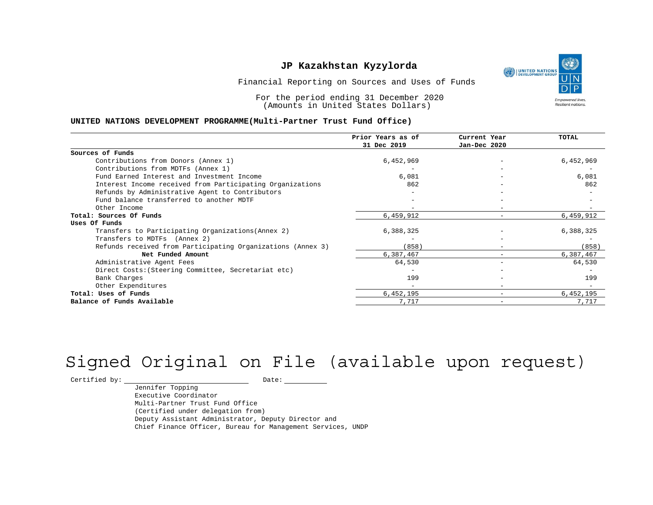UNITED NATIONS **Empowered lives** Resilient nations.

Financial Reporting on Sources and Uses of Funds

For the period ending 31 December 2020 (Amounts in United States Dollars)

#### **UNITED NATIONS DEVELOPMENT PROGRAMME(Multi-Partner Trust Fund Office)**

|                                                             | Prior Years as of | Current Year                 | <b>TOTAL</b> |
|-------------------------------------------------------------|-------------------|------------------------------|--------------|
|                                                             | 31 Dec 2019       | Jan-Dec 2020                 |              |
| Sources of Funds                                            |                   |                              |              |
| Contributions from Donors (Annex 1)                         | 6,452,969         |                              | 6,452,969    |
| Contributions from MDTFs (Annex 1)                          |                   |                              |              |
| Fund Earned Interest and Investment Income                  | 6,081             |                              | 6,081        |
| Interest Income received from Participating Organizations   | 862               |                              | 862          |
| Refunds by Administrative Agent to Contributors             |                   |                              |              |
| Fund balance transferred to another MDTF                    |                   |                              |              |
| Other Income                                                |                   | $-$                          |              |
| Total: Sources Of Funds                                     | 6,459,912         | $\overline{\phantom{0}}$     | 6,459,912    |
| Uses Of Funds                                               |                   |                              |              |
| Transfers to Participating Organizations (Annex 2)          | 6,388,325         |                              | 6,388,325    |
| Transfers to MDTFs (Annex 2)                                |                   |                              |              |
| Refunds received from Participating Organizations (Annex 3) | (858)             | $\qquad \qquad \blacksquare$ | (858)        |
| Net Funded Amount                                           | 6,387,467         |                              | 6,387,467    |
| Administrative Agent Fees                                   | 64,530            | $\overline{\phantom{0}}$     | 64,530       |
| Direct Costs: (Steering Committee, Secretariat etc)         |                   |                              |              |
| Bank Charges                                                | 199               |                              | 199          |
| Other Expenditures                                          |                   | $\overline{\phantom{m}}$     |              |
| Total: Uses of Funds                                        | 6,452,195         |                              | 6,452,195    |
| Balance of Funds Available                                  | 7,717             |                              | 7,717        |

# Signed Original on File (available upon request)

 $\begin{tabular}{c} \multicolumn{2}{c}{{\texttt{Certified by:}}}} \quad \quad \texttt{Date:} \end{tabular}$ 

Jennifer Topping Executive Coordinator Multi-Partner Trust Fund Office (Certified under delegation from) Deputy Assistant Administrator, Deputy Director and Chief Finance Officer, Bureau for Management Services, UNDP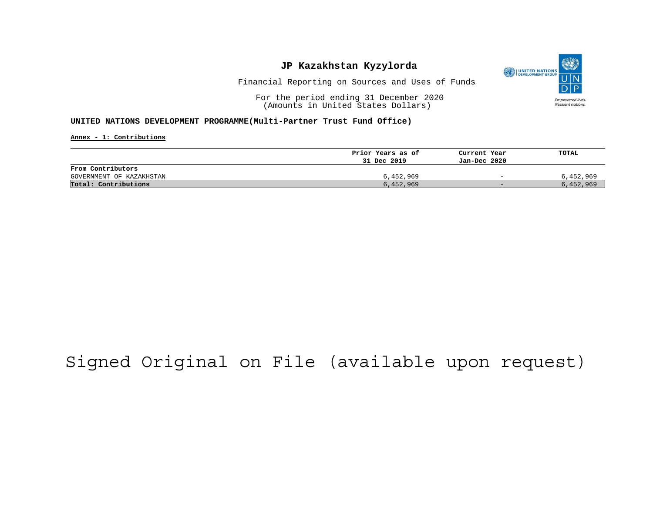

Financial Reporting on Sources and Uses of Funds

For the period ending 31 December 2020 (Amounts in United States Dollars)

#### **UNITED NATIONS DEVELOPMENT PROGRAMME(Multi-Partner Trust Fund Office)**

**Annex - 1: Contributions**

|                          | Prior Years as of | Current Year             | TOTAL     |
|--------------------------|-------------------|--------------------------|-----------|
|                          | 31 Dec 2019       | Jan-Dec 2020             |           |
| From Contributors        |                   |                          |           |
| GOVERNMENT OF KAZAKHSTAN | 6,452,969         | $\overline{\phantom{0}}$ | 6,452,969 |
| Total: Contributions     | 6,452,969         | $-$                      | 6,452,969 |

## Signed Original on File (available upon request)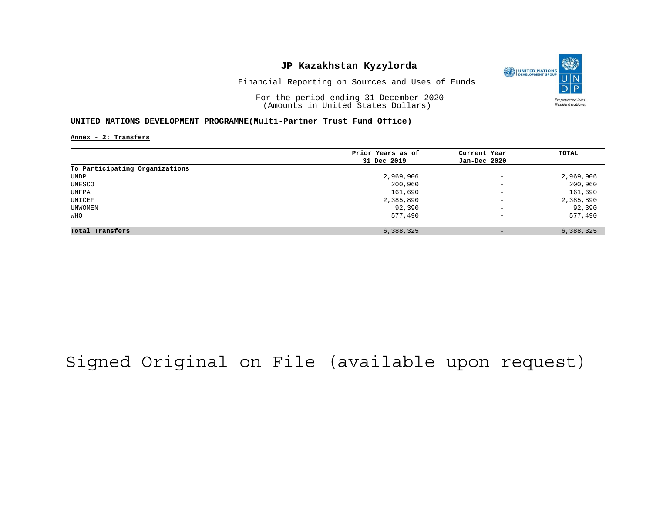

Financial Reporting on Sources and Uses of Funds

For the period ending 31 December 2020 (Amounts in United States Dollars)

#### **UNITED NATIONS DEVELOPMENT PROGRAMME(Multi-Partner Trust Fund Office)**

**Annex - 2: Transfers**

|                                | Prior Years as of |                          | TOTAL     |
|--------------------------------|-------------------|--------------------------|-----------|
|                                |                   | Current Year             |           |
|                                | 31 Dec 2019       | Jan-Dec 2020             |           |
| To Participating Organizations |                   |                          |           |
| UNDP                           | 2,969,906         | $\overline{\phantom{a}}$ | 2,969,906 |
| UNESCO                         | 200,960           | $\overline{\phantom{0}}$ | 200,960   |
| UNFPA                          | 161,690           | $\overline{\phantom{a}}$ | 161,690   |
| UNICEF                         | 2,385,890         | $\overline{\phantom{m}}$ | 2,385,890 |
| UNWOMEN                        | 92,390            | $\qquad \qquad -$        | 92,390    |
| WHO                            | 577,490           | $\overline{\phantom{a}}$ | 577,490   |
| Total Transfers                | 6,388,325         | $\overline{\phantom{0}}$ | 6,388,325 |

## Signed Original on File (available upon request)